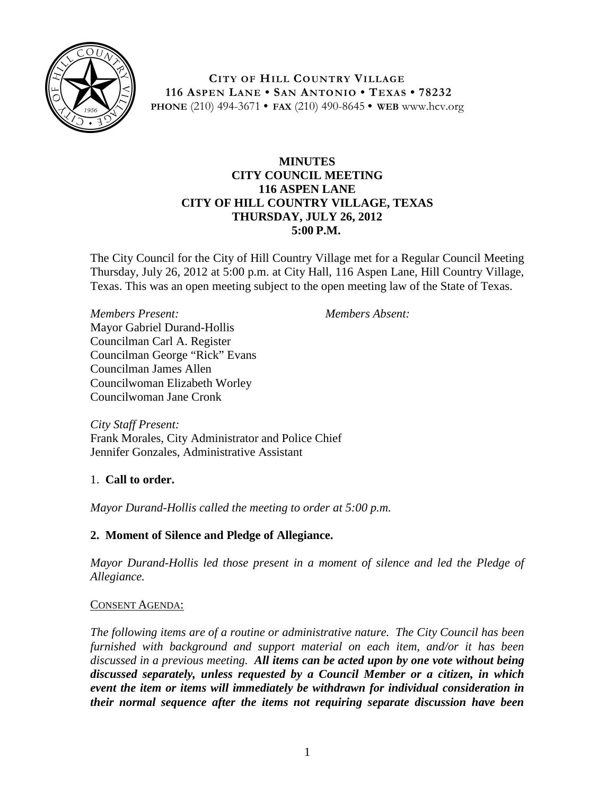

**CITY OF HILL COUNTRY VILLAGE 116 ASPEN LANE • SAN ANTONIO • TEXAS • 78232 PHONE** (210) 494-3671 **• FAX** (210) 490-8645 **• WEB** www.hcv.org

## **MINUTES CITY COUNCIL MEETING 116 ASPEN LANE CITY OF HILL COUNTRY VILLAGE, TEXAS THURSDAY, JULY 26, 2012 5:00 P.M.**

The City Council for the City of Hill Country Village met for a Regular Council Meeting Thursday, July 26, 2012 at 5:00 p.m. at City Hall, 116 Aspen Lane, Hill Country Village, Texas. This was an open meeting subject to the open meeting law of the State of Texas.

*Members Present:* Mayor Gabriel Durand-Hollis Councilman Carl A. Register Councilman George "Rick" Evans Councilman James Allen Councilwoman Elizabeth Worley Councilwoman Jane Cronk

*Members Absent:*

*City Staff Present:* Frank Morales, City Administrator and Police Chief Jennifer Gonzales, Administrative Assistant

# 1. **Call to order.**

*Mayor Durand-Hollis called the meeting to order at 5:00 p.m.*

# **2. Moment of Silence and Pledge of Allegiance.**

*Mayor Durand-Hollis led those present in a moment of silence and led the Pledge of Allegiance.*

# CONSENT AGENDA:

*The following items are of a routine or administrative nature. The City Council has been furnished with background and support material on each item, and/or it has been discussed in a previous meeting. All items can be acted upon by one vote without being discussed separately, unless requested by a Council Member or a citizen, in which event the item or items will immediately be withdrawn for individual consideration in their normal sequence after the items not requiring separate discussion have been*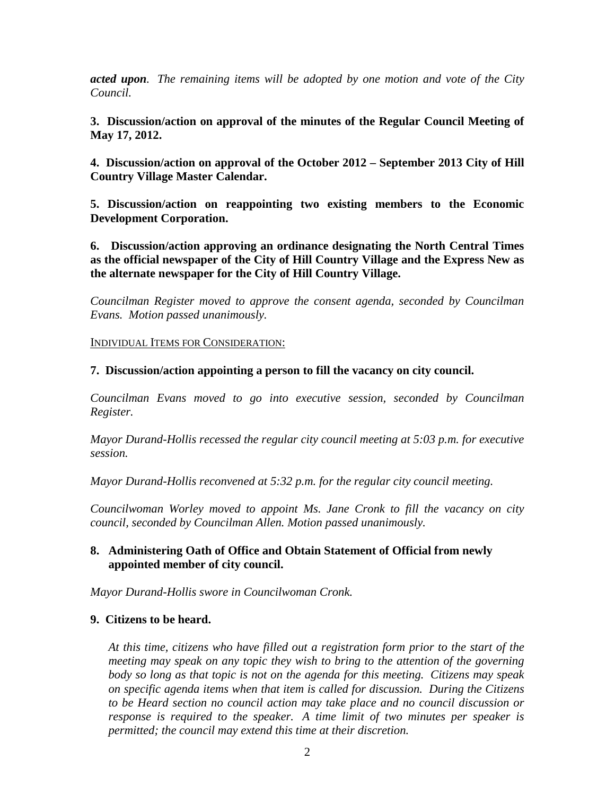*acted upon. The remaining items will be adopted by one motion and vote of the City Council.*

**3. Discussion/action on approval of the minutes of the Regular Council Meeting of May 17, 2012.**

**4. Discussion/action on approval of the October 2012 – September 2013 City of Hill Country Village Master Calendar.**

**5. Discussion/action on reappointing two existing members to the Economic Development Corporation.**

**6. Discussion/action approving an ordinance designating the North Central Times as the official newspaper of the City of Hill Country Village and the Express New as the alternate newspaper for the City of Hill Country Village.**

*Councilman Register moved to approve the consent agenda, seconded by Councilman Evans. Motion passed unanimously.*

INDIVIDUAL ITEMS FOR CONSIDERATION:

**7. Discussion/action appointing a person to fill the vacancy on city council.**

*Councilman Evans moved to go into executive session, seconded by Councilman Register.*

*Mayor Durand-Hollis recessed the regular city council meeting at 5:03 p.m. for executive session.*

*Mayor Durand-Hollis reconvened at 5:32 p.m. for the regular city council meeting.*

*Councilwoman Worley moved to appoint Ms. Jane Cronk to fill the vacancy on city council, seconded by Councilman Allen. Motion passed unanimously.*

## **8. Administering Oath of Office and Obtain Statement of Official from newly appointed member of city council.**

*Mayor Durand-Hollis swore in Councilwoman Cronk.*

#### **9. Citizens to be heard.**

*At this time, citizens who have filled out a registration form prior to the start of the meeting may speak on any topic they wish to bring to the attention of the governing body so long as that topic is not on the agenda for this meeting. Citizens may speak on specific agenda items when that item is called for discussion. During the Citizens to be Heard section no council action may take place and no council discussion or response is required to the speaker. A time limit of two minutes per speaker is permitted; the council may extend this time at their discretion.*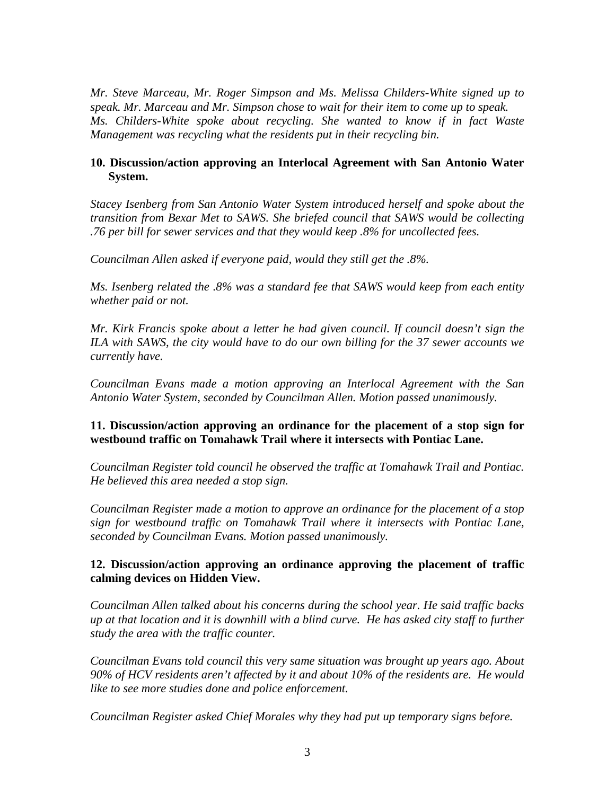*Mr. Steve Marceau, Mr. Roger Simpson and Ms. Melissa Childers-White signed up to speak. Mr. Marceau and Mr. Simpson chose to wait for their item to come up to speak. Ms. Childers-White spoke about recycling. She wanted to know if in fact Waste Management was recycling what the residents put in their recycling bin.* 

## **10. Discussion/action approving an Interlocal Agreement with San Antonio Water System.**

*Stacey Isenberg from San Antonio Water System introduced herself and spoke about the transition from Bexar Met to SAWS. She briefed council that SAWS would be collecting .76 per bill for sewer services and that they would keep .8% for uncollected fees.*

*Councilman Allen asked if everyone paid, would they still get the .8%.*

*Ms. Isenberg related the .8% was a standard fee that SAWS would keep from each entity whether paid or not.*

*Mr. Kirk Francis spoke about a letter he had given council. If council doesn't sign the*  ILA with SAWS, the city would have to do our own billing for the 37 sewer accounts we *currently have.* 

*Councilman Evans made a motion approving an Interlocal Agreement with the San Antonio Water System, seconded by Councilman Allen. Motion passed unanimously.*

## **11. Discussion/action approving an ordinance for the placement of a stop sign for westbound traffic on Tomahawk Trail where it intersects with Pontiac Lane.**

*Councilman Register told council he observed the traffic at Tomahawk Trail and Pontiac. He believed this area needed a stop sign.*

*Councilman Register made a motion to approve an ordinance for the placement of a stop sign for westbound traffic on Tomahawk Trail where it intersects with Pontiac Lane, seconded by Councilman Evans. Motion passed unanimously.* 

## **12. Discussion/action approving an ordinance approving the placement of traffic calming devices on Hidden View.**

*Councilman Allen talked about his concerns during the school year. He said traffic backs up at that location and it is downhill with a blind curve. He has asked city staff to further study the area with the traffic counter.*

*Councilman Evans told council this very same situation was brought up years ago. About 90% of HCV residents aren't affected by it and about 10% of the residents are. He would like to see more studies done and police enforcement.*

*Councilman Register asked Chief Morales why they had put up temporary signs before.*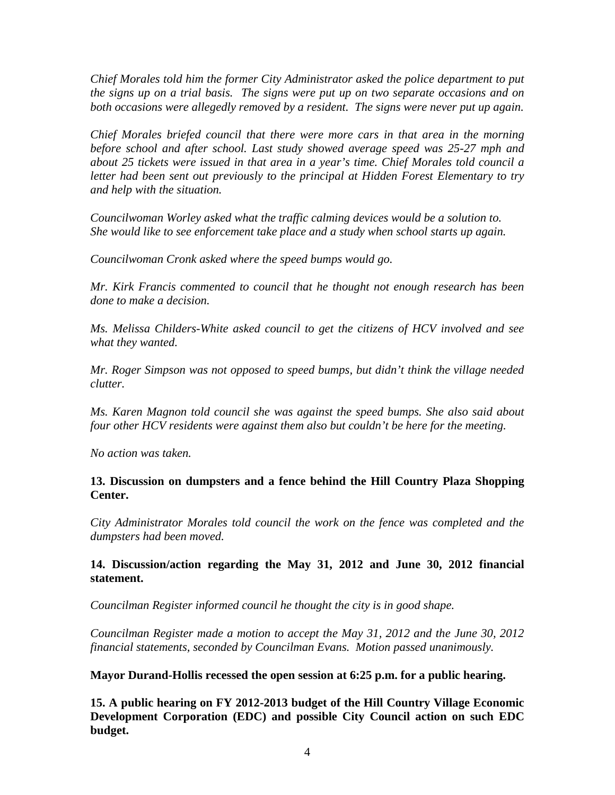*Chief Morales told him the former City Administrator asked the police department to put the signs up on a trial basis. The signs were put up on two separate occasions and on both occasions were allegedly removed by a resident. The signs were never put up again.*

*Chief Morales briefed council that there were more cars in that area in the morning before school and after school. Last study showed average speed was 25-27 mph and about 25 tickets were issued in that area in a year's time. Chief Morales told council a letter had been sent out previously to the principal at Hidden Forest Elementary to try and help with the situation.* 

*Councilwoman Worley asked what the traffic calming devices would be a solution to. She would like to see enforcement take place and a study when school starts up again.*

*Councilwoman Cronk asked where the speed bumps would go.*

*Mr. Kirk Francis commented to council that he thought not enough research has been done to make a decision.* 

*Ms. Melissa Childers-White asked council to get the citizens of HCV involved and see what they wanted.*

*Mr. Roger Simpson was not opposed to speed bumps, but didn't think the village needed clutter.* 

*Ms. Karen Magnon told council she was against the speed bumps. She also said about four other HCV residents were against them also but couldn't be here for the meeting.*

*No action was taken.*

**13. Discussion on dumpsters and a fence behind the Hill Country Plaza Shopping Center.**

*City Administrator Morales told council the work on the fence was completed and the dumpsters had been moved.* 

**14. Discussion/action regarding the May 31, 2012 and June 30, 2012 financial statement.**

*Councilman Register informed council he thought the city is in good shape.*

*Councilman Register made a motion to accept the May 31, 2012 and the June 30, 2012 financial statements, seconded by Councilman Evans. Motion passed unanimously.*

**Mayor Durand-Hollis recessed the open session at 6:25 p.m. for a public hearing.**

**15. A public hearing on FY 2012-2013 budget of the Hill Country Village Economic Development Corporation (EDC) and possible City Council action on such EDC budget.**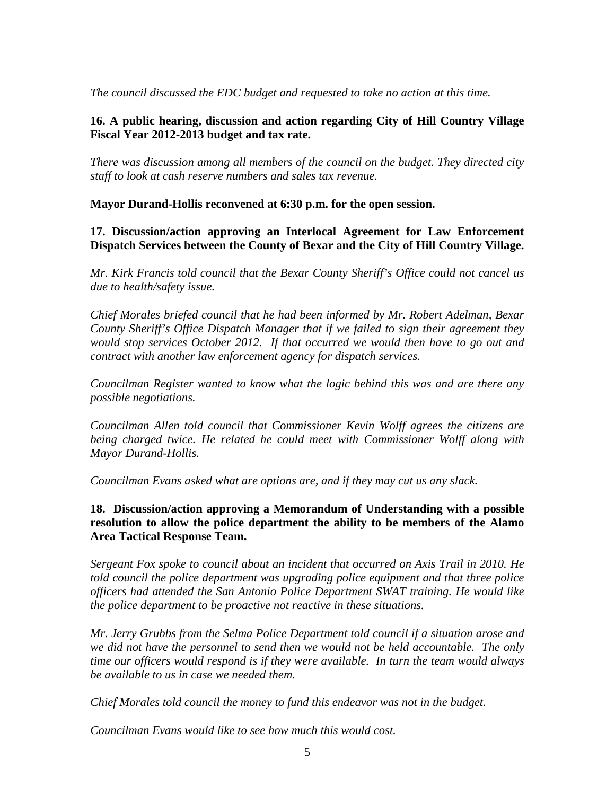*The council discussed the EDC budget and requested to take no action at this time.*

## **16. A public hearing, discussion and action regarding City of Hill Country Village Fiscal Year 2012-2013 budget and tax rate.**

*There was discussion among all members of the council on the budget. They directed city staff to look at cash reserve numbers and sales tax revenue.* 

**Mayor Durand-Hollis reconvened at 6:30 p.m. for the open session.** 

**17. Discussion/action approving an Interlocal Agreement for Law Enforcement Dispatch Services between the County of Bexar and the City of Hill Country Village.**

*Mr. Kirk Francis told council that the Bexar County Sheriff's Office could not cancel us due to health/safety issue.* 

*Chief Morales briefed council that he had been informed by Mr. Robert Adelman, Bexar County Sheriff's Office Dispatch Manager that if we failed to sign their agreement they would stop services October 2012. If that occurred we would then have to go out and contract with another law enforcement agency for dispatch services.*

*Councilman Register wanted to know what the logic behind this was and are there any possible negotiations.*

*Councilman Allen told council that Commissioner Kevin Wolff agrees the citizens are being charged twice. He related he could meet with Commissioner Wolff along with Mayor Durand-Hollis.*

*Councilman Evans asked what are options are, and if they may cut us any slack.* 

**18. Discussion/action approving a Memorandum of Understanding with a possible resolution to allow the police department the ability to be members of the Alamo Area Tactical Response Team.**

*Sergeant Fox spoke to council about an incident that occurred on Axis Trail in 2010. He told council the police department was upgrading police equipment and that three police officers had attended the San Antonio Police Department SWAT training. He would like the police department to be proactive not reactive in these situations.*

*Mr. Jerry Grubbs from the Selma Police Department told council if a situation arose and we did not have the personnel to send then we would not be held accountable. The only time our officers would respond is if they were available. In turn the team would always be available to us in case we needed them.*

*Chief Morales told council the money to fund this endeavor was not in the budget.* 

*Councilman Evans would like to see how much this would cost.*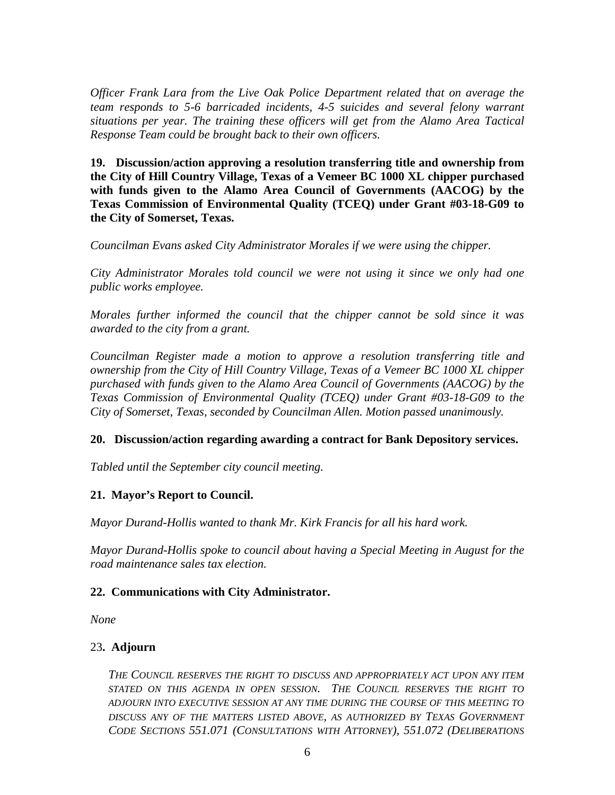*Officer Frank Lara from the Live Oak Police Department related that on average the team responds to 5-6 barricaded incidents, 4-5 suicides and several felony warrant situations per year. The training these officers will get from the Alamo Area Tactical Response Team could be brought back to their own officers.* 

**19. Discussion/action approving a resolution transferring title and ownership from the City of Hill Country Village, Texas of a Vemeer BC 1000 XL chipper purchased with funds given to the Alamo Area Council of Governments (AACOG) by the Texas Commission of Environmental Quality (TCEQ) under Grant #03-18-G09 to the City of Somerset, Texas.**

*Councilman Evans asked City Administrator Morales if we were using the chipper.*

*City Administrator Morales told council we were not using it since we only had one public works employee.* 

*Morales further informed the council that the chipper cannot be sold since it was awarded to the city from a grant.* 

*Councilman Register made a motion to approve a resolution transferring title and ownership from the City of Hill Country Village, Texas of a Vemeer BC 1000 XL chipper purchased with funds given to the Alamo Area Council of Governments (AACOG) by the Texas Commission of Environmental Quality (TCEQ) under Grant #03-18-G09 to the City of Somerset, Texas, seconded by Councilman Allen. Motion passed unanimously.*

#### **20. Discussion/action regarding awarding a contract for Bank Depository services.**

*Tabled until the September city council meeting.*

# **21. Mayor's Report to Council.**

*Mayor Durand-Hollis wanted to thank Mr. Kirk Francis for all his hard work.*

*Mayor Durand-Hollis spoke to council about having a Special Meeting in August for the road maintenance sales tax election.* 

#### **22. Communications with City Administrator.**

*None*

#### 23**. Adjourn**

*THE COUNCIL RESERVES THE RIGHT TO DISCUSS AND APPROPRIATELY ACT UPON ANY ITEM STATED ON THIS AGENDA IN OPEN SESSION. THE COUNCIL RESERVES THE RIGHT TO ADJOURN INTO EXECUTIVE SESSION AT ANY TIME DURING THE COURSE OF THIS MEETING TO DISCUSS ANY OF THE MATTERS LISTED ABOVE, AS AUTHORIZED BY TEXAS GOVERNMENT CODE SECTIONS 551.071 (CONSULTATIONS WITH ATTORNEY), 551.072 (DELIBERATIONS*